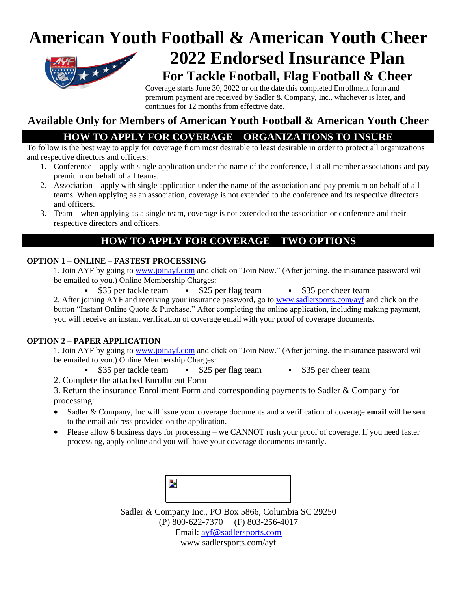## **American Youth Football & American Youth Cheer 2022 Endorsed Insurance Plan**



# **For Tackle Football, Flag Football & Cheer**

Coverage starts June 30, 2022 or on the date this completed Enrollment form and premium payment are received by Sadler & Company, Inc., whichever is later, and continues for 12 months from effective date.

### **Available Only for Members of American Youth Football & American Youth Cheer**

### **HOW TO APPLY FOR COVERAGE – ORGANIZATIONS TO INSURE**

To follow is the best way to apply for coverage from most desirable to least desirable in order to protect all organizations and respective directors and officers:

- 1. Conference apply with single application under the name of the conference, list all member associations and pay premium on behalf of all teams.
- 2. Association apply with single application under the name of the association and pay premium on behalf of all teams. When applying as an association, coverage is not extended to the conference and its respective directors and officers.
- 3. Team when applying as a single team, coverage is not extended to the association or conference and their respective directors and officers.

#### **HOW TO APPLY FOR COVERAGE – TWO OPTIONS**

#### **OPTION 1 – ONLINE – FASTEST PROCESSING**

1. Join AYF by going to [www.joinayf.com](http://www.joinayf.com/) and click on "Join Now." (After joining, the insurance password will be emailed to you.) Online Membership Charges:

\$35 per tackle team • \$25 per flag team • \$35 per cheer team

2. After joining AYF and receiving your insurance password, go to [www.sadlersports.com/ayf](http://www.sadlersports.com/ayf) and click on the button "Instant Online Quote & Purchase." After completing the online application, including making payment, you will receive an instant verification of coverage email with your proof of coverage documents.

#### **OPTION 2 – PAPER APPLICATION**

1. Join AYF by going to [www.joinayf.com](http://www.joinayf.com/) and click on "Join Now." (After joining, the insurance password will be emailed to you.) Online Membership Charges:

- \$35 per tackle team \$25 per flag team \$35 per cheer team
- 

2. Complete the attached Enrollment Form

3. Return the insurance Enrollment Form and corresponding payments to Sadler & Company for processing:

- Sadler & Company, Inc will issue your coverage documents and a verification of coverage **email** will be sent to the email address provided on the application.
- Please allow 6 business days for processing we CANNOT rush your proof of coverage. If you need faster processing, apply online and you will have your coverage documents instantly.



Sadler & Company Inc., PO Box 5866, Columbia SC 29250 (P) 800-622-7370 (F) 803-256-4017 Email: [ayf@sadlersports.com](mailto:ayf@sadlersports.com)

www.sadlersports.com/ayf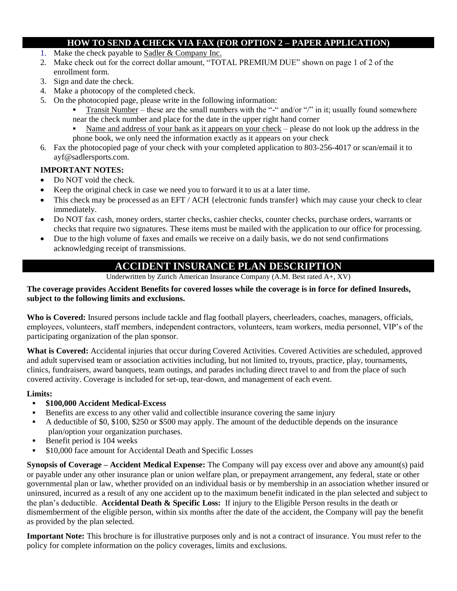#### **HOW TO SEND A CHECK VIA FAX (FOR OPTION 2 – PAPER APPLICATION)**

- 1. Make the check payable to Sadler & Company Inc.
- 2. Make check out for the correct dollar amount, "TOTAL PREMIUM DUE" shown on page 1 of 2 of the enrollment form.
- 3. Sign and date the check.
- 4. Make a photocopy of the completed check.
- 5. On the photocopied page, please write in the following information:
	- Transit Number these are the small numbers with the "-" and/or "/" in it; usually found somewhere near the check number and place for the date in the upper right hand corner
	- Name and address of your bank as it appears on your check please do not look up the address in the phone book, we only need the information exactly as it appears on your check
- 6. Fax the photocopied page of your check with your completed application to 803-256-4017 or scan/email it to ayf@sadlersports.com.

#### **IMPORTANT NOTES:**

- Do NOT void the check.
- Keep the original check in case we need you to forward it to us at a later time.
- This check may be processed as an EFT / ACH {electronic funds transfer} which may cause your check to clear immediately.
- Do NOT fax cash, money orders, starter checks, cashier checks, counter checks, purchase orders, warrants or checks that require two signatures. These items must be mailed with the application to our office for processing.
- Due to the high volume of faxes and emails we receive on a daily basis, we do not send confirmations acknowledging receipt of transmissions.

#### **ACCIDENT INSURANCE PLAN DESCRIPTION**

Underwritten by Zurich American Insurance Company (A.M. Best rated A+, XV)

#### **The coverage provides Accident Benefits for covered losses while the coverage is in force for defined Insureds, subject to the following limits and exclusions.**

**Who is Covered:** Insured persons include tackle and flag football players, cheerleaders, coaches, managers, officials, employees, volunteers, staff members, independent contractors, volunteers, team workers, media personnel, VIP's of the participating organization of the plan sponsor.

**What is Covered:** Accidental injuries that occur during Covered Activities. Covered Activities are scheduled, approved and adult supervised team or association activities including, but not limited to, tryouts, practice, play, tournaments, clinics, fundraisers, award banquets, team outings, and parades including direct travel to and from the place of such covered activity. Coverage is included for set-up, tear-down, and management of each event.

#### **Limits:**

#### ▪ **\$100,000 Accident Medical-Excess**

- Benefits are excess to any other valid and collectible insurance covering the same injury
- A deductible of \$0, \$100, \$250 or \$500 may apply. The amount of the deductible depends on the insurance plan/option your organization purchases.
- $\blacksquare$  Benefit period is 104 weeks
- \$10,000 face amount for Accidental Death and Specific Losses

**Synopsis of Coverage – Accident Medical Expense:** The Company will pay excess over and above any amount(s) paid or payable under any other insurance plan or union welfare plan, or prepayment arrangement, any federal, state or other governmental plan or law, whether provided on an individual basis or by membership in an association whether insured or uninsured, incurred as a result of any one accident up to the maximum benefit indicated in the plan selected and subject to the plan's deductible. **Accidental Death & Specific Loss:** If injury to the Eligible Person results in the death or dismemberment of the eligible person, within six months after the date of the accident, the Company will pay the benefit as provided by the plan selected.

**Important Note:** This brochure is for illustrative purposes only and is not a contract of insurance. You must refer to the policy for complete information on the policy coverages, limits and exclusions.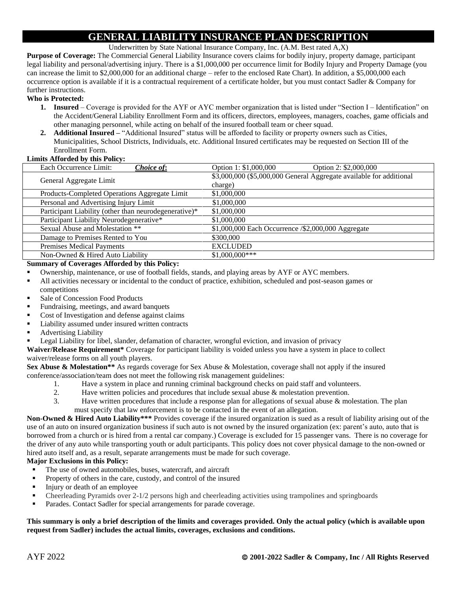### **GENERAL LIABILITY INSURANCE PLAN DESCRIPTION**

Underwritten by State National Insurance Company, Inc. (A.M. Best rated A,X)

**Purpose of Coverage:** The Commercial General Liability Insurance covers claims for bodily injury, property damage, participant legal liability and personal/advertising injury. There is a \$1,000,000 per occurrence limit for Bodily Injury and Property Damage (you can increase the limit to \$2,000,000 for an additional charge – refer to the enclosed Rate Chart). In addition, a \$5,000,000 each occurrence option is available if it is a contractual requirement of a certificate holder, but you must contact Sadler & Company for further instructions.

#### **Who is Protected:**

- **1. Insured** Coverage is provided for the AYF or AYC member organization that is listed under "Section I Identification" on the Accident/General Liability Enrollment Form and its officers, directors, employees, managers, coaches, game officials and other managing personnel, while acting on behalf of the insured football team or cheer squad.
- **2. Additional Insured –** "Additional Insured" status will be afforded to facility or property owners such as Cities, Municipalities, School Districts, Individuals, etc. Additional Insured certificates may be requested on Section III of the Enrollment Form.

#### **Limits Afforded by this Policy:**

| Option 1: \$1,000,000<br>Option 2: \$2,000,000                      |
|---------------------------------------------------------------------|
| \$3,000,000 (\$5,000,000 General Aggregate available for additional |
| charge)                                                             |
| \$1,000,000                                                         |
| \$1,000,000                                                         |
| \$1,000,000                                                         |
| \$1,000,000                                                         |
| \$1,000,000 Each Occurrence /\$2,000,000 Aggregate                  |
| \$300,000                                                           |
| <b>EXCLUDED</b>                                                     |
| $$1,000,000***$                                                     |
|                                                                     |

#### **Summary of Coverages Afforded by this Policy:**

- Ownership, maintenance, or use of football fields, stands, and playing areas by AYF or AYC members.
- All activities necessary or incidental to the conduct of practice, exhibition, scheduled and post-season games or competitions
- Sale of Concession Food Products
- Fundraising, meetings, and award banquets
- Cost of Investigation and defense against claims
- Liability assumed under insured written contracts
- Advertising Liability
- Legal Liability for libel, slander, defamation of character, wrongful eviction, and invasion of privacy

**Waiver/Release Requirement\*** Coverage for participant liability is voided unless you have a system in place to collect waiver/release forms on all youth players.

**Sex Abuse & Molestation\*\*** As regards coverage for Sex Abuse & Molestation, coverage shall not apply if the insured conference/association/team does not meet the following risk management guidelines:

- 1. Have a system in place and running criminal background checks on paid staff and volunteers.
- 2. Have written policies and procedures that include sexual abuse & molestation prevention.
- 3. Have written procedures that include a response plan for allegations of sexual abuse & molestation. The plan must specify that law enforcement is to be contacted in the event of an allegation.

**Non-Owned & Hired Auto Liability\*\*\*** Provides coverage if the insured organization is sued as a result of liability arising out of the use of an auto on insured organization business if such auto is not owned by the insured organization (ex: parent's auto, auto that is borrowed from a church or is hired from a rental car company.) Coverage is excluded for 15 passenger vans. There is no coverage for the driver of any auto while transporting youth or adult participants. This policy does not cover physical damage to the non-owned or hired auto itself and, as a result, separate arrangements must be made for such coverage.

#### **Major Exclusions in this Policy:**

- The use of owned automobiles, buses, watercraft, and aircraft
- **•** Property of others in the care, custody, and control of the insured
- Injury or death of an employee
- Cheerleading Pyramids over 2-1/2 persons high and cheerleading activities using trampolines and springboards
- Parades. Contact Sadler for special arrangements for parade coverage.

#### **This summary is only a brief description of the limits and coverages provided. Only the actual policy (which is available upon request from Sadler) includes the actual limits, coverages, exclusions and conditions.**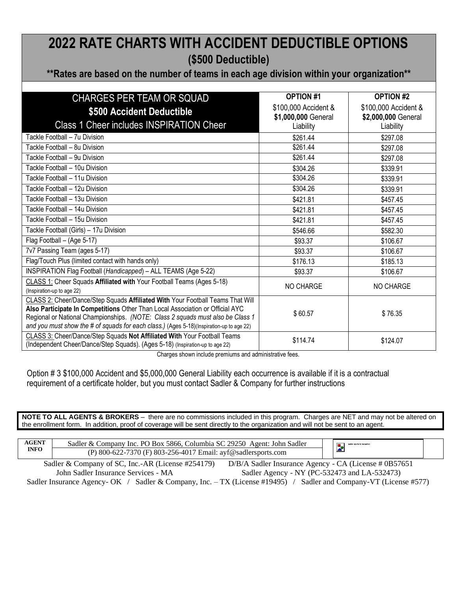### **2022 RATE CHARTS WITH ACCIDENT DEDUCTIBLE OPTIONS (\$500 Deductible)**

**\*\*Rates are based on the number of teams in each age division within your organization\*\***

| <b>CHARGES PER TEAM OR SQUAD</b>                                                                                                                                                                                                                                                                                                              | <b>OPTION #1</b>                                         | <b>OPTION #2</b>                                         |
|-----------------------------------------------------------------------------------------------------------------------------------------------------------------------------------------------------------------------------------------------------------------------------------------------------------------------------------------------|----------------------------------------------------------|----------------------------------------------------------|
| \$500 Accident Deductible<br>Class 1 Cheer includes INSPIRATION Cheer                                                                                                                                                                                                                                                                         | \$100,000 Accident &<br>\$1,000,000 General<br>Liability | \$100,000 Accident &<br>\$2,000,000 General<br>Liability |
| Tackle Football - 7u Division                                                                                                                                                                                                                                                                                                                 | \$261.44                                                 | \$297.08                                                 |
| Tackle Football - 8u Division                                                                                                                                                                                                                                                                                                                 | \$261.44                                                 | \$297.08                                                 |
| Tackle Football - 9u Division                                                                                                                                                                                                                                                                                                                 | \$261.44                                                 | \$297.08                                                 |
| Tackle Football - 10u Division                                                                                                                                                                                                                                                                                                                | \$304.26                                                 | \$339.91                                                 |
| Tackle Football - 11u Division                                                                                                                                                                                                                                                                                                                | \$304.26                                                 | \$339.91                                                 |
| Tackle Football - 12u Division                                                                                                                                                                                                                                                                                                                | \$304.26                                                 | \$339.91                                                 |
| Tackle Football - 13u Division                                                                                                                                                                                                                                                                                                                | \$421.81                                                 | \$457.45                                                 |
| Tackle Football - 14u Division                                                                                                                                                                                                                                                                                                                | \$421.81                                                 | \$457.45                                                 |
| Tackle Football - 15u Division                                                                                                                                                                                                                                                                                                                | \$421.81                                                 | \$457.45                                                 |
| Tackle Football (Girls) - 17u Division                                                                                                                                                                                                                                                                                                        | \$546.66                                                 | \$582.30                                                 |
| Flag Football - (Age 5-17)                                                                                                                                                                                                                                                                                                                    | \$93.37                                                  | \$106.67                                                 |
| 7v7 Passing Team (ages 5-17)                                                                                                                                                                                                                                                                                                                  | \$93.37                                                  | \$106.67                                                 |
| Flag/Touch Plus (limited contact with hands only)                                                                                                                                                                                                                                                                                             | \$176.13                                                 | \$185.13                                                 |
| INSPIRATION Flag Football (Handicapped) - ALL TEAMS (Age 5-22)                                                                                                                                                                                                                                                                                | \$93.37                                                  | \$106.67                                                 |
| CLASS 1: Cheer Squads Affiliated with Your Football Teams (Ages 5-18)<br>(Inspiration-up to age 22)                                                                                                                                                                                                                                           | NO CHARGE                                                | NO CHARGE                                                |
| CLASS 2: Cheer/Dance/Step Squads Affiliated With Your Football Teams That Will<br>Also Participate In Competitions Other Than Local Association or Official AYC<br>Regional or National Championships. (NOTE: Class 2 squads must also be Class 1<br>and you must show the # of squads for each class.) (Ages 5-18)(Inspiration-up to age 22) | \$60.57                                                  | \$76.35                                                  |
| CLASS 3: Cheer/Dance/Step Squads Not Affiliated With Your Football Teams<br>(Independent Cheer/Dance/Step Squads). (Ages 5-18) (Inspiration-up to age 22)                                                                                                                                                                                     | \$114.74                                                 | \$124.07                                                 |

Charges shown include premiums and administrative fees.

Option # 3 \$100,000 Accident and \$5,000,000 General Liability each occurrence is available if it is a contractual requirement of a certificate holder, but you must contact Sadler & Company for further instructions

**NOTE TO ALL AGENTS & BROKERS** – there are no commissions included in this program. Charges are NET and may not be altered on the enrollment form. In addition, proof of coverage will be sent directly to the organization and will not be sent to an agent.

| <b>AGENT</b> | 29250<br>John Sadler<br>. PO Box 5866.<br>. Columbia SC<br>Agent:<br>Sadler<br>company<br>Xr<br>Inc.                                                                                                                                                                    |  |  |
|--------------|-------------------------------------------------------------------------------------------------------------------------------------------------------------------------------------------------------------------------------------------------------------------------|--|--|
| <b>INFO</b>  | Email: avf@sadlersports.com<br>7370 (F) 803-256-4017 $\mu$<br>$(\mathbf{P})$<br>800<br>$\prime$ .                                                                                                                                                                       |  |  |
|              | the contract of the contract of the contract of the contract of the contract of the contract of the contract of<br>the contract of the contract of the<br>1000 - 1000 - 1000 - 1000 - 1000 - 1000 - 1000 - 1000 - 1000 - 1000 - 1000 - 1000 - 1000 - 1000 - 1000 - 1000 |  |  |

Sadler & Company of SC, Inc.-AR (License #254179) D/B/A Sadler Insurance Agency - CA (License # 0B57651 John Sadler Insurance Services - MA Sadler Agency - NY (PC-532473 and LA-532473) Sadler Insurance Agency- OK / Sadler & Company, Inc. – TX (License #19495) / Sadler and Company-VT (License #577)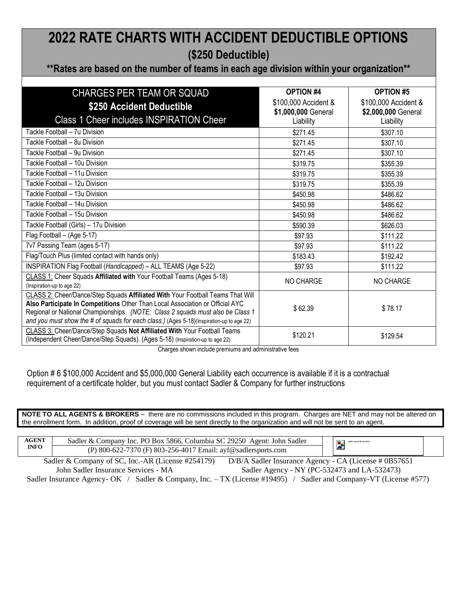### **2022 RATE CHARTS WITH ACCIDENT DEDUCTIBLE OPTIONS (\$250 Deductible)**

#### **\*\*Rates are based on the number of teams in each age division within your organization\*\***

| <b>CHARGES PER TEAM OR SQUAD</b>                                                         | <b>OPTION #4</b>     | <b>OPTION #5</b>     |
|------------------------------------------------------------------------------------------|----------------------|----------------------|
| \$250 Accident Deductible                                                                | \$100,000 Accident & | \$100,000 Accident & |
|                                                                                          | \$1,000,000 General  | \$2,000,000 General  |
| <b>Class 1 Cheer includes INSPIRATION Cheer</b>                                          | Liability            | Liability            |
| Tackle Football - 7u Division                                                            | \$271.45             | \$307.10             |
| Tackle Football - 8u Division                                                            | \$271.45             | \$307.10             |
| Tackle Football - 9u Division                                                            | \$271.45             | \$307.10             |
| Tackle Football - 10u Division                                                           | \$319.75             | \$355.39             |
| Tackle Football - 11u Division                                                           | \$319.75             | \$355.39             |
| Tackle Football - 12u Division                                                           | \$319.75             | \$355.39             |
| Tackle Football - 13u Division                                                           | \$450.98             | \$486.62             |
| Tackle Football - 14u Division                                                           | \$450.98             | \$486.62             |
| Tackle Football - 15u Division                                                           | \$450.98             | \$486.62             |
| Tackle Football (Girls) - 17u Division                                                   | \$590.39             | \$626.03             |
| Flag Football - (Age 5-17)                                                               | \$97.93              | \$111.22             |
| 7v7 Passing Team (ages 5-17)                                                             | \$97.93              | \$111.22             |
| Flag/Touch Plus (limited contact with hands only)                                        | \$183.43             | \$192.42             |
| INSPIRATION Flag Football (Handicapped) - ALL TEAMS (Age 5-22)                           | \$97.93              | \$111.22             |
| CLASS 1: Cheer Squads Affiliated with Your Football Teams (Ages 5-18)                    | <b>NO CHARGE</b>     | <b>NO CHARGE</b>     |
| (Inspiration-up to age 22)                                                               |                      |                      |
| CLASS 2: Cheer/Dance/Step Squads Affiliated With Your Football Teams That Will           |                      |                      |
| Also Participate In Competitions Other Than Local Association or Official AYC            | \$62.39              | \$78.17              |
| Regional or National Championships. (NOTE: Class 2 squads must also be Class 1           |                      |                      |
| and you must show the # of squads for each class.) (Ages 5-18)(Inspiration-up to age 22) |                      |                      |
| CLASS 3: Cheer/Dance/Step Squads Not Affiliated With Your Football Teams                 | \$120.21             | \$129.54             |
| (Independent Cheer/Dance/Step Squads). (Ages 5-18) (Inspiration-up to age 22)            |                      |                      |

Charges shown include premiums and administrative fees

Option # 6 \$100,000 Accident and \$5,000,000 General Liability each occurrence is available if it is a contractual requirement of a certificate holder, but you must contact Sadler & Company for further instructions

**NOTE TO ALL AGENTS & BROKERS** – there are no commissions included in this program. Charges are NET and may not be altered on the enrollment form. In addition, proof of coverage will be sent directly to the organization and will not be sent to an agent.

| <b>AGENT</b> | Sadler & Company Inc. PO Box 5866, Columbia SC 29250 Agent: John Sadler                                              | sadler sports & recreation |  |
|--------------|----------------------------------------------------------------------------------------------------------------------|----------------------------|--|
| <b>INFO</b>  | (P) 800-622-7370 (F) 803-256-4017 Email: ayf@sadlersports.com                                                        |                            |  |
|              | D/B/A Sadler Insurance Agency - CA (License # 0B57651)<br>Sadler & Company of SC, Inc.-AR (License #254179)          |                            |  |
|              | Sadler Agency - NY (PC-532473 and LA-532473)<br>John Sadler Insurance Services - MA                                  |                            |  |
|              | Sadler Insurance Agency - OK / Sadler & Company, Inc. - TX (License #19495) / Sadler and Company - VT (License #577) |                            |  |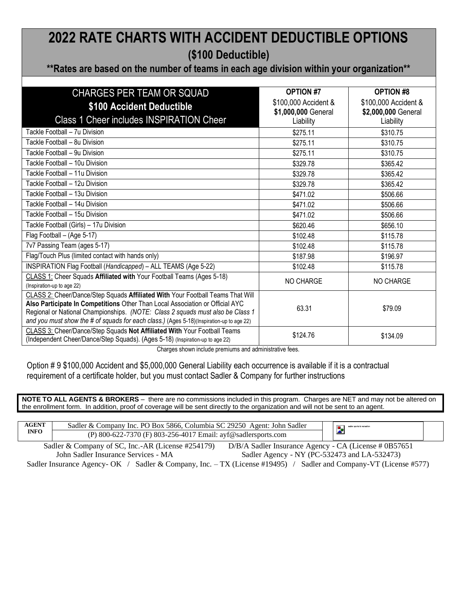### **2022 RATE CHARTS WITH ACCIDENT DEDUCTIBLE OPTIONS (\$100 Deductible)**

#### **\*\*Rates are based on the number of teams in each age division within your organization\*\***

| CHARGES PER TEAM OR SQUAD                                                                | <b>OPTION #7</b>     | <b>OPTION #8</b>     |
|------------------------------------------------------------------------------------------|----------------------|----------------------|
| \$100 Accident Deductible                                                                | \$100,000 Accident & | \$100,000 Accident & |
|                                                                                          | \$1,000,000 General  | \$2,000,000 General  |
| <b>Class 1 Cheer includes INSPIRATION Cheer</b>                                          | Liability            | Liability            |
| Tackle Football - 7u Division                                                            | \$275.11             | \$310.75             |
| Tackle Football - 8u Division                                                            | \$275.11             | \$310.75             |
| Tackle Football - 9u Division                                                            | \$275.11             | \$310.75             |
| Tackle Football - 10u Division                                                           | \$329.78             | \$365.42             |
| Tackle Football - 11u Division                                                           | \$329.78             | \$365.42             |
| Tackle Football - 12u Division                                                           | \$329.78             | \$365.42             |
| Tackle Football - 13u Division                                                           | \$471.02             | \$506.66             |
| Tackle Football - 14u Division                                                           | \$471.02             | \$506.66             |
| Tackle Football - 15u Division                                                           | \$471.02             | \$506.66             |
| Tackle Football (Girls) - 17u Division                                                   | \$620.46             | \$656.10             |
| Flag Football - (Age 5-17)                                                               | \$102.48             | \$115.78             |
| 7v7 Passing Team (ages 5-17)                                                             | \$102.48             | \$115.78             |
| Flag/Touch Plus (limited contact with hands only)                                        | \$187.98             | \$196.97             |
| INSPIRATION Flag Football (Handicapped) - ALL TEAMS (Age 5-22)                           | \$102.48             | \$115.78             |
| CLASS 1: Cheer Squads Affiliated with Your Football Teams (Ages 5-18)                    | NO CHARGE            | NO CHARGE            |
| (Inspiration-up to age 22)                                                               |                      |                      |
| CLASS 2: Cheer/Dance/Step Squads Affiliated With Your Football Teams That Will           |                      |                      |
| Also Participate In Competitions Other Than Local Association or Official AYC            | 63.31                | \$79.09              |
| Regional or National Championships. (NOTE: Class 2 squads must also be Class 1           |                      |                      |
| and you must show the # of squads for each class.) (Ages 5-18)(Inspiration-up to age 22) |                      |                      |
| CLASS 3: Cheer/Dance/Step Squads Not Affiliated With Your Football Teams                 | \$124.76             | \$134.09             |
| (Independent Cheer/Dance/Step Squads). (Ages 5-18) (Inspiration-up to age 22)            |                      |                      |

Charges shown include premiums and administrative fees.

Option # 9 \$100,000 Accident and \$5,000,000 General Liability each occurrence is available if it is a contractual requirement of a certificate holder, but you must contact Sadler & Company for further instructions

**NOTE TO ALL AGENTS & BROKERS** – there are no commissions included in this program. Charges are NET and may not be altered on the enrollment form. In addition, proof of coverage will be sent directly to the organization and will not be sent to an agent.

| <b>AGENT</b><br>Company Inc. PO Box 5866. Columbia SC 29250.<br>John Sadler<br>Agent:<br>Sadler &<br><b>INFO</b><br>7370 (F) 803-256-4017 Email: ayf@sadlersports.com<br>(P) 800-622-7 |  | sadler sports & recreatio |  |
|----------------------------------------------------------------------------------------------------------------------------------------------------------------------------------------|--|---------------------------|--|
|----------------------------------------------------------------------------------------------------------------------------------------------------------------------------------------|--|---------------------------|--|

Sadler & Company of SC, Inc.-AR (License #254179) D/B/A Sadler Insurance Agency - CA (License # 0B57651 John Sadler Insurance Services - MA Sadler Agency - NY (PC-532473 and LA-532473)

Sadler Insurance Agency- OK / Sadler & Company, Inc. - TX (License #19495) / Sadler and Company-VT (License #577)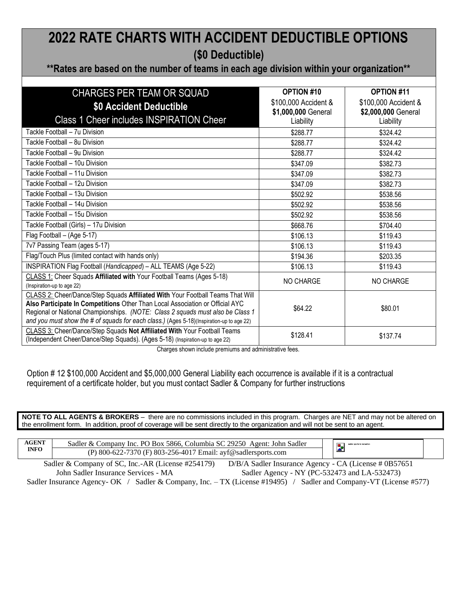### **2022 RATE CHARTS WITH ACCIDENT DEDUCTIBLE OPTIONS (\$0 Deductible)**

#### **\*\*Rates are based on the number of teams in each age division within your organization\*\***

| <b>CHARGES PER TEAM OR SQUAD</b>                                                         | OPTION #10           | <b>OPTION #11</b>    |
|------------------------------------------------------------------------------------------|----------------------|----------------------|
| \$0 Accident Deductible                                                                  | \$100,000 Accident & | \$100,000 Accident & |
|                                                                                          | \$1,000,000 General  | \$2,000,000 General  |
| <b>Class 1 Cheer includes INSPIRATION Cheer</b>                                          | Liability            | Liability            |
| Tackle Football - 7u Division                                                            | \$288.77             | \$324.42             |
| Tackle Football - 8u Division                                                            | \$288.77             | \$324.42             |
| Tackle Football - 9u Division                                                            | \$288.77             | \$324.42             |
| Tackle Football - 10u Division                                                           | \$347.09             | \$382.73             |
| Tackle Football - 11u Division                                                           | \$347.09             | \$382.73             |
| Tackle Football - 12u Division                                                           | \$347.09             | \$382.73             |
| Tackle Football - 13u Division                                                           | \$502.92             | \$538.56             |
| Tackle Football - 14u Division                                                           | \$502.92             | \$538.56             |
| Tackle Football - 15u Division                                                           | \$502.92             | \$538.56             |
| Tackle Football (Girls) - 17u Division                                                   | \$668.76             | \$704.40             |
| Flag Football - (Age 5-17)                                                               | \$106.13             | \$119.43             |
| 7v7 Passing Team (ages 5-17)                                                             | \$106.13             | \$119.43             |
| Flag/Touch Plus (limited contact with hands only)                                        | \$194.36             | \$203.35             |
| INSPIRATION Flag Football (Handicapped) - ALL TEAMS (Age 5-22)                           | \$106.13             | \$119.43             |
| CLASS 1: Cheer Squads Affiliated with Your Football Teams (Ages 5-18)                    | NO CHARGE            | NO CHARGE            |
| (Inspiration-up to age 22)                                                               |                      |                      |
| CLASS 2: Cheer/Dance/Step Squads Affiliated With Your Football Teams That Will           |                      |                      |
| Also Participate In Competitions Other Than Local Association or Official AYC            | \$64.22              | \$80.01              |
| Regional or National Championships. (NOTE: Class 2 squads must also be Class 1           |                      |                      |
| and you must show the # of squads for each class.) (Ages 5-18)(Inspiration-up to age 22) |                      |                      |
| CLASS 3: Cheer/Dance/Step Squads Not Affiliated With Your Football Teams                 | \$128.41             | \$137.74             |
| (Independent Cheer/Dance/Step Squads). (Ages 5-18) (Inspiration-up to age 22)            |                      |                      |

Charges shown include premiums and administrative fees.

Option # 12 \$100,000 Accident and \$5,000,000 General Liability each occurrence is available if it is a contractual requirement of a certificate holder, but you must contact Sadler & Company for further instructions

**NOTE TO ALL AGENTS & BROKERS** – there are no commissions included in this program. Charges are NET and may not be altered on the enrollment form. In addition, proof of coverage will be sent directly to the organization and will not be sent to an agent.

| <b>AGENT</b> | Company Inc. PO Box 5866. Columbia SC 29250 Agent: John Sadler<br>Sadler & |          |  |
|--------------|----------------------------------------------------------------------------|----------|--|
| <b>INFO</b>  | (P) 800-622-7370 (F) 803-256-4017 Email: ayf@sadlersports.com              | <b>A</b> |  |

Sadler & Company of SC, Inc.-AR (License #254179) D/B/A Sadler Insurance Agency - CA (License # 0B57651 John Sadler Insurance Services - MA Sadler Agency - NY (PC-532473 and LA-532473) Sadler Insurance Agency- OK / Sadler & Company, Inc. – TX (License #19495) / Sadler and Company-VT (License #577)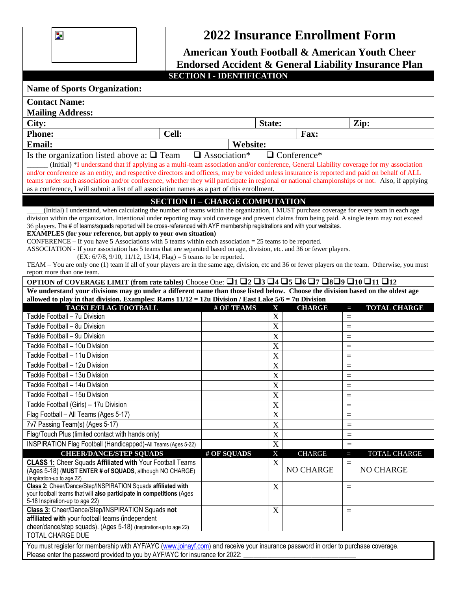$\overline{\mathbf{z}}$ 

### **2022 Insurance Enrollment Form**

| <b>American Youth Football &amp; American Youth Cheer</b>                                                                                                                                                                                                                                                                                                                                                                                                                                                                                                                                                                                                                                                                                                                                                                                                                                                                           |                                                                                                             |                        |                            |                    |            |                     |  |
|-------------------------------------------------------------------------------------------------------------------------------------------------------------------------------------------------------------------------------------------------------------------------------------------------------------------------------------------------------------------------------------------------------------------------------------------------------------------------------------------------------------------------------------------------------------------------------------------------------------------------------------------------------------------------------------------------------------------------------------------------------------------------------------------------------------------------------------------------------------------------------------------------------------------------------------|-------------------------------------------------------------------------------------------------------------|------------------------|----------------------------|--------------------|------------|---------------------|--|
| Endorsed Accident & General Liability Insurance Plan                                                                                                                                                                                                                                                                                                                                                                                                                                                                                                                                                                                                                                                                                                                                                                                                                                                                                |                                                                                                             |                        |                            |                    |            |                     |  |
|                                                                                                                                                                                                                                                                                                                                                                                                                                                                                                                                                                                                                                                                                                                                                                                                                                                                                                                                     | <b>SECTION I - IDENTIFICATION</b>                                                                           |                        |                            |                    |            |                     |  |
| <b>Name of Sports Organization:</b>                                                                                                                                                                                                                                                                                                                                                                                                                                                                                                                                                                                                                                                                                                                                                                                                                                                                                                 |                                                                                                             |                        |                            |                    |            |                     |  |
| <b>Contact Name:</b>                                                                                                                                                                                                                                                                                                                                                                                                                                                                                                                                                                                                                                                                                                                                                                                                                                                                                                                |                                                                                                             |                        |                            |                    |            |                     |  |
| <b>Mailing Address:</b>                                                                                                                                                                                                                                                                                                                                                                                                                                                                                                                                                                                                                                                                                                                                                                                                                                                                                                             |                                                                                                             |                        |                            |                    |            |                     |  |
| City:                                                                                                                                                                                                                                                                                                                                                                                                                                                                                                                                                                                                                                                                                                                                                                                                                                                                                                                               |                                                                                                             |                        | State:                     |                    |            | Zip:                |  |
| <b>Phone:</b>                                                                                                                                                                                                                                                                                                                                                                                                                                                                                                                                                                                                                                                                                                                                                                                                                                                                                                                       | Cell:                                                                                                       |                        |                            | Fax:               |            |                     |  |
| <b>Email:</b>                                                                                                                                                                                                                                                                                                                                                                                                                                                                                                                                                                                                                                                                                                                                                                                                                                                                                                                       |                                                                                                             | <b>Website:</b>        |                            |                    |            |                     |  |
| Is the organization listed above a: $\Box$ Team<br>(Initial) *I understand that if applying as a multi-team association and/or conference, General Liability coverage for my association<br>and/or conference as an entity, and respective directors and officers, may be voided unless insurance is reported and paid on behalf of ALL<br>teams under such association and/or conference, whether they will participate in regional or national championships or not. Also, if applying<br>as a conference, I will submit a list of all association names as a part of this enrollment.                                                                                                                                                                                                                                                                                                                                            |                                                                                                             | $\square$ Association* |                            | $\Box$ Conference* |            |                     |  |
| (Initial) I understand, when calculating the number of teams within the organization, I MUST purchase coverage for every team in each age<br>division within the organization. Intentional under reporting may void coverage and prevent claims from being paid. A single team may not exceed<br>36 players. The # of teams/squads reported will be cross-referenced with AYF membership registrations and with your websites.<br><b>EXAMPLES</b> (for your reference, but apply to your own situation)<br>CONFERENCE – If you have 5 Associations with 5 teams within each association $=$ 25 teams to be reported.<br>ASSOCIATION - If your association has 5 teams that are separated based on age, division, etc. and 36 or fewer players.<br>TEAM - You are only one (1) team if all of your players are in the same age, division, etc and 36 or fewer players on the team. Otherwise, you must<br>report more than one team. | <b>SECTION II - CHARGE COMPUTATION</b><br>$(EX: 6/7/8, 9/10, 11/12, 13/14, Flag) = 5$ teams to be reported. |                        |                            |                    |            |                     |  |
| OPTION of COVERAGE LIMIT (from rate tables) Choose One: $\Box$ 1 $\Box$ 2 $\Box$ 3 $\Box$ 4 $\Box$ 5 $\Box$ 6 $\Box$ 7 $\Box$ 8 $\Box$ 9 $\Box$ 10 $\Box$ 11 $\Box$ 12                                                                                                                                                                                                                                                                                                                                                                                                                                                                                                                                                                                                                                                                                                                                                              |                                                                                                             |                        |                            |                    |            |                     |  |
| We understand your divisions may go under a different name than those listed below. Choose the division based on the oldest age                                                                                                                                                                                                                                                                                                                                                                                                                                                                                                                                                                                                                                                                                                                                                                                                     |                                                                                                             |                        |                            |                    |            |                     |  |
| allowed to play in that division. Examples: Rams 11/12 = 12u Division / East Lake 5/6 = 7u Division                                                                                                                                                                                                                                                                                                                                                                                                                                                                                                                                                                                                                                                                                                                                                                                                                                 |                                                                                                             |                        |                            |                    |            |                     |  |
| <b>TACKLE/FLAG FOOTBALL</b>                                                                                                                                                                                                                                                                                                                                                                                                                                                                                                                                                                                                                                                                                                                                                                                                                                                                                                         |                                                                                                             | # OF TEAMS             | X                          | <b>CHARGE</b>      | T          | <b>TOTAL CHARGE</b> |  |
| Tackle Football - 7u Division<br>Tackle Football - 8u Division                                                                                                                                                                                                                                                                                                                                                                                                                                                                                                                                                                                                                                                                                                                                                                                                                                                                      |                                                                                                             |                        | $\mathbf X$                |                    | $=$        |                     |  |
| Tackle Football - 9u Division                                                                                                                                                                                                                                                                                                                                                                                                                                                                                                                                                                                                                                                                                                                                                                                                                                                                                                       |                                                                                                             |                        | $\mathbf X$<br>$\mathbf X$ |                    | $=$        |                     |  |
| Tackle Football - 10u Division                                                                                                                                                                                                                                                                                                                                                                                                                                                                                                                                                                                                                                                                                                                                                                                                                                                                                                      |                                                                                                             |                        | X                          |                    | $=$        |                     |  |
| Tackle Football - 11u Division                                                                                                                                                                                                                                                                                                                                                                                                                                                                                                                                                                                                                                                                                                                                                                                                                                                                                                      |                                                                                                             |                        | $\mathbf X$                |                    | $=$        |                     |  |
| Tackle Football - 12u Division                                                                                                                                                                                                                                                                                                                                                                                                                                                                                                                                                                                                                                                                                                                                                                                                                                                                                                      |                                                                                                             |                        | $\mathbf X$                |                    | $=$        |                     |  |
| Tackle Football - 13u Division                                                                                                                                                                                                                                                                                                                                                                                                                                                                                                                                                                                                                                                                                                                                                                                                                                                                                                      |                                                                                                             |                        | $\mathbf X$                |                    | $=$        |                     |  |
| Tackle Football - 14u Division                                                                                                                                                                                                                                                                                                                                                                                                                                                                                                                                                                                                                                                                                                                                                                                                                                                                                                      |                                                                                                             |                        |                            |                    | $=$        |                     |  |
| Tackle Football - 15u Division                                                                                                                                                                                                                                                                                                                                                                                                                                                                                                                                                                                                                                                                                                                                                                                                                                                                                                      |                                                                                                             |                        | X<br>$\mathbf X$           |                    | $=$        |                     |  |
| Tackle Football (Girls) - 17u Division                                                                                                                                                                                                                                                                                                                                                                                                                                                                                                                                                                                                                                                                                                                                                                                                                                                                                              |                                                                                                             |                        | $\boldsymbol{\mathrm{X}}$  |                    |            |                     |  |
| Flag Football - All Teams (Ages 5-17)                                                                                                                                                                                                                                                                                                                                                                                                                                                                                                                                                                                                                                                                                                                                                                                                                                                                                               |                                                                                                             |                        | $\mathbf X$                |                    | $=$        |                     |  |
| 7v7 Passing Team(s) (Ages 5-17)                                                                                                                                                                                                                                                                                                                                                                                                                                                                                                                                                                                                                                                                                                                                                                                                                                                                                                     |                                                                                                             |                        | $\mathbf X$                |                    | $=$        |                     |  |
| Flag/Touch Plus (limited contact with hands only)                                                                                                                                                                                                                                                                                                                                                                                                                                                                                                                                                                                                                                                                                                                                                                                                                                                                                   |                                                                                                             |                        | $\mathbf X$                |                    | $=$        |                     |  |
| INSPIRATION Flag Football (Handicapped)-All Teams (Ages 5-22)                                                                                                                                                                                                                                                                                                                                                                                                                                                                                                                                                                                                                                                                                                                                                                                                                                                                       |                                                                                                             |                        | $\mathbf X$                |                    | $=$<br>$=$ |                     |  |
| <b>CHEER/DANCE/STEP SQUADS</b>                                                                                                                                                                                                                                                                                                                                                                                                                                                                                                                                                                                                                                                                                                                                                                                                                                                                                                      |                                                                                                             | # OF SQUADS            | X                          | <b>CHARGE</b>      | W          | <b>TOTAL CHARGE</b> |  |
| CLASS 1: Cheer Squads Affiliated with Your Football Teams                                                                                                                                                                                                                                                                                                                                                                                                                                                                                                                                                                                                                                                                                                                                                                                                                                                                           |                                                                                                             |                        | $\mathbf X$                |                    | $=$        |                     |  |
| (Ages 5-18) (MUST ENTER # of SQUADS, although NO CHARGE)<br>(Inspiration-up to age 22)                                                                                                                                                                                                                                                                                                                                                                                                                                                                                                                                                                                                                                                                                                                                                                                                                                              |                                                                                                             |                        |                            | <b>NO CHARGE</b>   |            | <b>NO CHARGE</b>    |  |
| Class 2: Cheer/Dance/Step/INSPIRATION Squads affiliated with<br>your football teams that will also participate in competitions (Ages<br>5-18 Inspiration-up to age 22)                                                                                                                                                                                                                                                                                                                                                                                                                                                                                                                                                                                                                                                                                                                                                              |                                                                                                             |                        | X                          |                    | $=$        |                     |  |
| Class 3: Cheer/Dance/Step/INSPIRATION Squads not<br>affiliated with your football teams (independent<br>cheer/dance/step squads). (Ages 5-18) (Inspiration-up to age 22)                                                                                                                                                                                                                                                                                                                                                                                                                                                                                                                                                                                                                                                                                                                                                            |                                                                                                             |                        | X                          |                    | $=$        |                     |  |
| <b>TOTAL CHARGE DUE</b>                                                                                                                                                                                                                                                                                                                                                                                                                                                                                                                                                                                                                                                                                                                                                                                                                                                                                                             |                                                                                                             |                        |                            |                    |            |                     |  |
| You must register for membership with AYF/AYC (www.joinayf.com) and receive your insurance password in order to purchase coverage.<br>Please enter the password provided to you by AYF/AYC for insurance for 2022:                                                                                                                                                                                                                                                                                                                                                                                                                                                                                                                                                                                                                                                                                                                  |                                                                                                             |                        |                            |                    |            |                     |  |